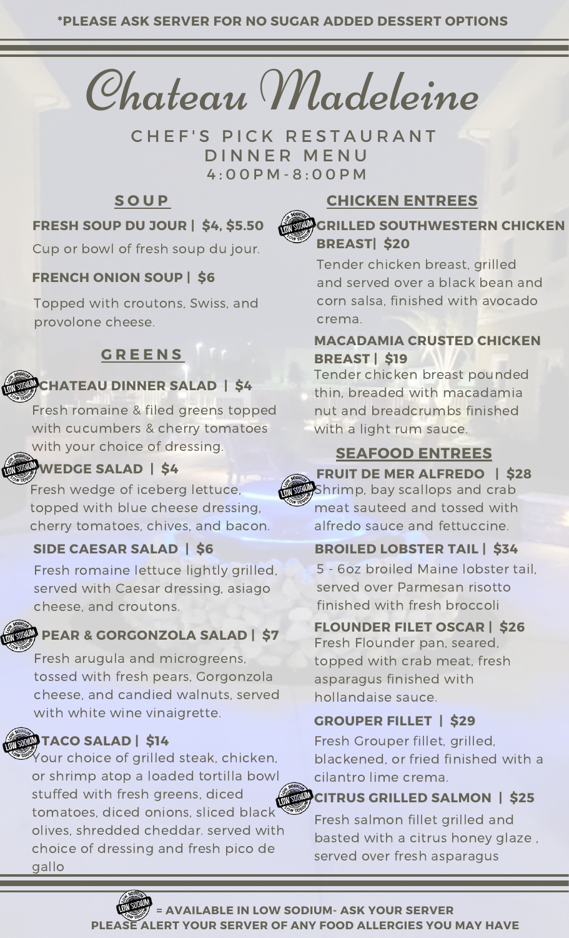Chateau Madeleine

D INNER MENU CHEF'S PICK RESTAURANT 4 : 0 0 P M - 8 : 0 0 P M

## **S O U P**



# **CHICKEN ENTREES**

#### **FRESH SOUP DU JOUR | \$4, \$5.50**

Cup or bowl of fresh soup du jour.

#### **FRENCH ONION SOUP | \$6**

Topped with croutons, Swiss, and provolone cheese.

# **G R E E N S**

## **CHATEAU DINNER SALAD | \$4**

Fresh romaine & filed greens topped with cucumbers & cherry tomatoes with your choice of dressing. **SEAFOOD ENTREES**

### **WEDGE SALAD | \$4**

Fresh wedge of iceberg lettuce, topped with blue cheese dressing, cherry tomatoes, chives, and bacon.

#### **SIDE CAESAR SALAD | \$6**

Fresh romaine lettuce lightly grilled, served with Caesar dressing, asiago cheese, and croutons.

#### **PEAR & GORGONZOLA SALAD | \$7**

Fresh arugula and microgreens, tossed with fresh pears, Gorgonzola cheese, and candied walnuts, served with white wine vinaigrette.

## **TACO SALAD | \$14**

Your choice of grilled steak, chicken, or shrimp atop a loaded tortilla bowl stuffed with fresh greens, diced tomatoes, diced onions, sliced black olives, shredded cheddar. served with choice of dressing and fresh pico de gallo

# **GRILLED SOUTHWESTERN CHICKEN**

#### Tender chicken breast, grilled and served over a black bean and **BREAST| \$20**

corn salsa, finished with avocado crema.

#### **MACADAMIA CRUSTED CHICKEN BREAST | \$19**

Tender chicken breast pounded thin, breaded with macadamia nut and breadcrumbs finished with a light rum sauce.

# **FRUIT DE MER ALFREDO | \$28**

Shrimp, bay scallops and crab meat sauteed and tossed with alfredo sauce and fettuccine.

#### **BROILED LOBSTER TAIL | \$34**

5 - 6oz broiled Maine lobster tail, served over Parmesan risotto finished with fresh broccoli

#### **FLOUNDER FILET OSCAR | \$26**

Fresh Flounder pan, seared, topped with crab meat, fresh asparagus finished with hollandaise sauce.

## **GROUPER FILLET | \$29**

Fresh Grouper fillet, grilled, blackened, or fried finished with a cilantro lime crema.

#### **CITRUS GRILLED SALMON | \$25**

Fresh salmon fillet grilled and basted with a citrus honey glaze , served over fresh asparagus